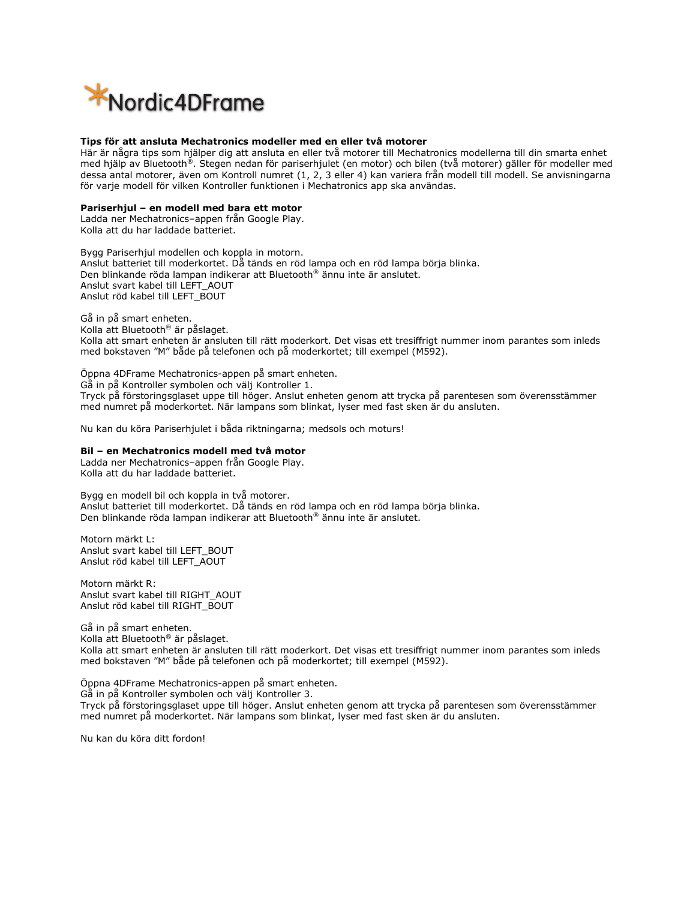

### **Tips för att ansluta Mechatronics modeller med en eller två motorer**

Här är några tips som hjälper dig att ansluta en eller två motorer till Mechatronics modellerna till din smarta enhet med hjälp av Bluetooth®. Stegen nedan för pariserhjulet (en motor) och bilen (två motorer) gäller för modeller med dessa antal motorer, även om Kontroll numret (1, 2, 3 eller 4) kan variera från modell till modell. Se anvisningarna för varje modell för vilken Kontroller funktionen i Mechatronics app ska användas.

## **Pariserhjul – en modell med bara ett motor**

Ladda ner Mechatronics–appen från Google Play. Kolla att du har laddade batteriet.

Bygg Pariserhjul modellen och koppla in motorn. Anslut batteriet till moderkortet. Då tänds en röd lampa och en röd lampa börja blinka. Den blinkande röda lampan indikerar att Bluetooth® ännu inte är anslutet. Anslut svart kabel till LEFT\_AOUT Anslut röd kabel till LEFT\_BOUT

Gå in på smart enheten. Kolla att Bluetooth® är påslaget. Kolla att smart enheten är ansluten till rätt moderkort. Det visas ett tresiffrigt nummer inom parantes som inleds med bokstaven "M" både på telefonen och på moderkortet; till exempel (M592).

Öppna 4DFrame Mechatronics-appen på smart enheten. Gå in på Kontroller symbolen och välj Kontroller 1. Tryck på förstoringsglaset uppe till höger. Anslut enheten genom att trycka på parentesen som överensstämmer med numret på moderkortet. När lampans som blinkat, lyser med fast sken är du ansluten.

Nu kan du köra Pariserhjulet i båda riktningarna; medsols och moturs!

## **Bil – en Mechatronics modell med två motor**

Ladda ner Mechatronics–appen från Google Play. Kolla att du har laddade batteriet.

Bygg en modell bil och koppla in två motorer. Anslut batteriet till moderkortet. Då tänds en röd lampa och en röd lampa börja blinka. Den blinkande röda lampan indikerar att Bluetooth® ännu inte är anslutet.

Motorn märkt L: Anslut svart kabel till LEFT\_BOUT Anslut röd kabel till LEFT\_AOUT

Motorn märkt R: Anslut svart kabel till RIGHT\_AOUT Anslut röd kabel till RIGHT\_BOUT

Gå in på smart enheten. Kolla att Bluetooth® är påslaget. Kolla att smart enheten är ansluten till rätt moderkort. Det visas ett tresiffrigt nummer inom parantes som inleds med bokstaven "M" både på telefonen och på moderkortet; till exempel (M592).

Öppna 4DFrame Mechatronics-appen på smart enheten.

Gå in på Kontroller symbolen och välj Kontroller 3.

Tryck på förstoringsglaset uppe till höger. Anslut enheten genom att trycka på parentesen som överensstämmer med numret på moderkortet. När lampans som blinkat, lyser med fast sken är du ansluten.

Nu kan du köra ditt fordon!